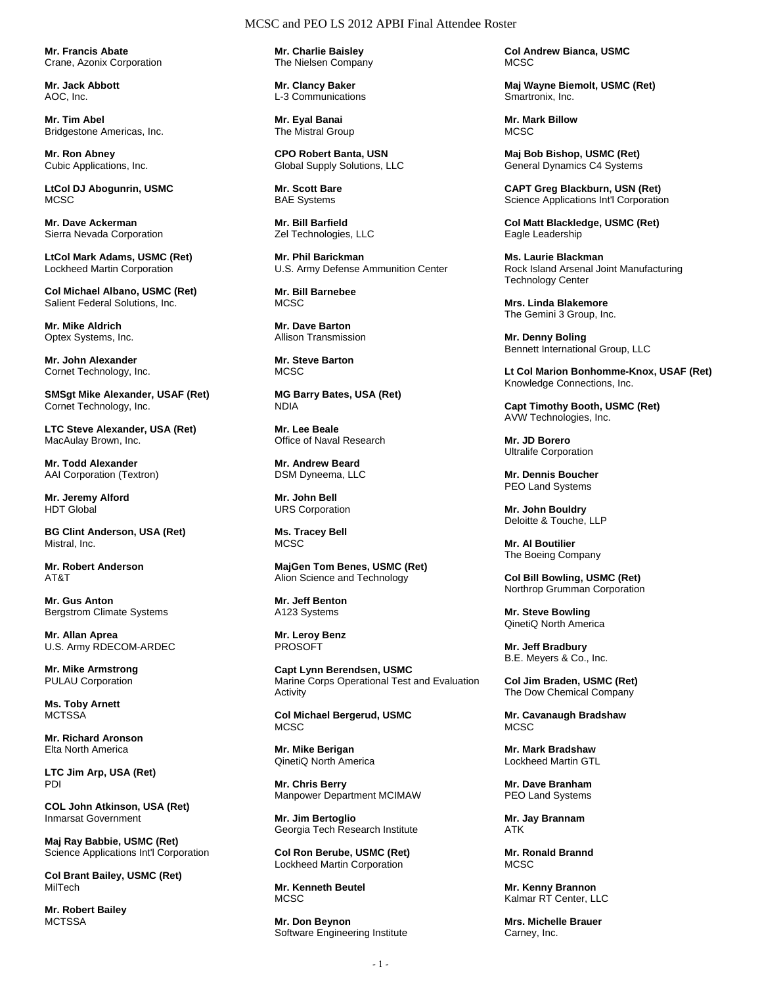**Mr. Francis Abate**  Crane, Azonix Corporation

**Mr. Jack Abbott**  AOC, Inc.

**Mr. Tim Abel**  Bridgestone Americas, Inc.

**Mr. Ron Abney**  Cubic Applications, Inc.

**LtCol DJ Abogunrin, USMC MCSC** 

**Mr. Dave Ackerman**  Sierra Nevada Corporation

**LtCol Mark Adams, USMC (Ret)**  Lockheed Martin Corporation

**Col Michael Albano, USMC (Ret)**  Salient Federal Solutions, Inc.

**Mr. Mike Aldrich**  Optex Systems, Inc.

**Mr. John Alexander**  Cornet Technology, Inc.

**SMSgt Mike Alexander, USAF (Ret)**  Cornet Technology, Inc.

**LTC Steve Alexander, USA (Ret)**  MacAulay Brown, Inc.

**Mr. Todd Alexander**  AAI Corporation (Textron)

**Mr. Jeremy Alford**  HDT Global

**BG Clint Anderson, USA (Ret)**  Mistral, Inc.

**Mr. Robert Anderson**  AT&T

**Mr. Gus Anton**  Bergstrom Climate Systems

**Mr. Allan Aprea**  U.S. Army RDECOM-ARDEC

**Mr. Mike Armstrong**  PULAU Corporation

**Ms. Toby Arnett MCTSSA** 

**Mr. Richard Aronson**  Elta North America

**LTC Jim Arp, USA (Ret)**  PDI

**COL John Atkinson, USA (Ret)**  Inmarsat Government

**Maj Ray Babbie, USMC (Ret)**  Science Applications Int'l Corporation

**Col Brant Bailey, USMC (Ret)**  MilTech

**Mr. Robert Bailey MCTSSA** 

**Mr. Charlie Baisley**  The Nielsen Company

**Mr. Clancy Baker**  L-3 Communications

**Mr. Eyal Banai**  The Mistral Group

**CPO Robert Banta, USN**  Global Supply Solutions, LLC

**Mr. Scott Bare**  BAE Systems

**Mr. Bill Barfield**  Zel Technologies, LLC

**Mr. Phil Barickman**  U.S. Army Defense Ammunition Center

**Mr. Bill Barnebee**  MCSC.

**Mr. Dave Barton**  Allison Transmission

**Mr. Steve Barton MCSC** 

**MG Barry Bates, USA (Ret)**  NDIA

**Mr. Lee Beale**  Office of Naval Research

**Mr. Andrew Beard**  DSM Dyneema, LLC

**Mr. John Bell**  URS Corporation

**Ms. Tracey Bell MCSC** 

**MajGen Tom Benes, USMC (Ret)**  Alion Science and Technology

**Mr. Jeff Benton**  A123 Systems

**Mr. Leroy Benz**  PROSOFT

**Capt Lynn Berendsen, USMC**  Marine Corps Operational Test and Evaluation Activity

**Col Michael Bergerud, USMC**  MCSC

**Mr. Mike Berigan**  QinetiQ North America

**Mr. Chris Berry**  Manpower Department MCIMAW

**Mr. Jim Bertoglio**  Georgia Tech Research Institute

**Col Ron Berube, USMC (Ret)**  Lockheed Martin Corporation

**Mr. Kenneth Beutel MCSC** 

**Mr. Don Beynon**  Software Engineering Institute **Col Andrew Bianca, USMC MCSC** 

**Maj Wayne Biemolt, USMC (Ret)**  Smartronix, Inc.

**Mr. Mark Billow**  MCSC.

**Maj Bob Bishop, USMC (Ret)**  General Dynamics C4 Systems

**CAPT Greg Blackburn, USN (Ret)**  Science Applications Int'l Corporation

**Col Matt Blackledge, USMC (Ret)**  Eagle Leadership

**Ms. Laurie Blackman**  Rock Island Arsenal Joint Manufacturing Technology Center

**Mrs. Linda Blakemore**  The Gemini 3 Group, Inc.

**Mr. Denny Boling**  Bennett International Group, LLC

**Lt Col Marion Bonhomme-Knox, USAF (Ret)**  Knowledge Connections, Inc.

**Capt Timothy Booth, USMC (Ret)**  AVW Technologies, Inc.

**Mr. JD Borero**  Ultralife Corporation

**Mr. Dennis Boucher**  PEO Land Systems

**Mr. John Bouldry**  Deloitte & Touche, LLP

**Mr. Al Boutilier**  The Boeing Company

**Col Bill Bowling, USMC (Ret)**  Northrop Grumman Corporation

**Mr. Steve Bowling**  QinetiQ North America

**Mr. Jeff Bradbury**  B.E. Meyers & Co., Inc.

**Col Jim Braden, USMC (Ret)**  The Dow Chemical Company

**Mr. Cavanaugh Bradshaw**  MCSC

**Mr. Mark Bradshaw**  Lockheed Martin GTL

**Mr. Dave Branham**  PEO Land Systems

**Mr. Jay Brannam**  ATK

**Mr. Ronald Brannd MCSC** 

**Mr. Kenny Brannon**  Kalmar RT Center, LLC

**Mrs. Michelle Brauer**  Carney, Inc.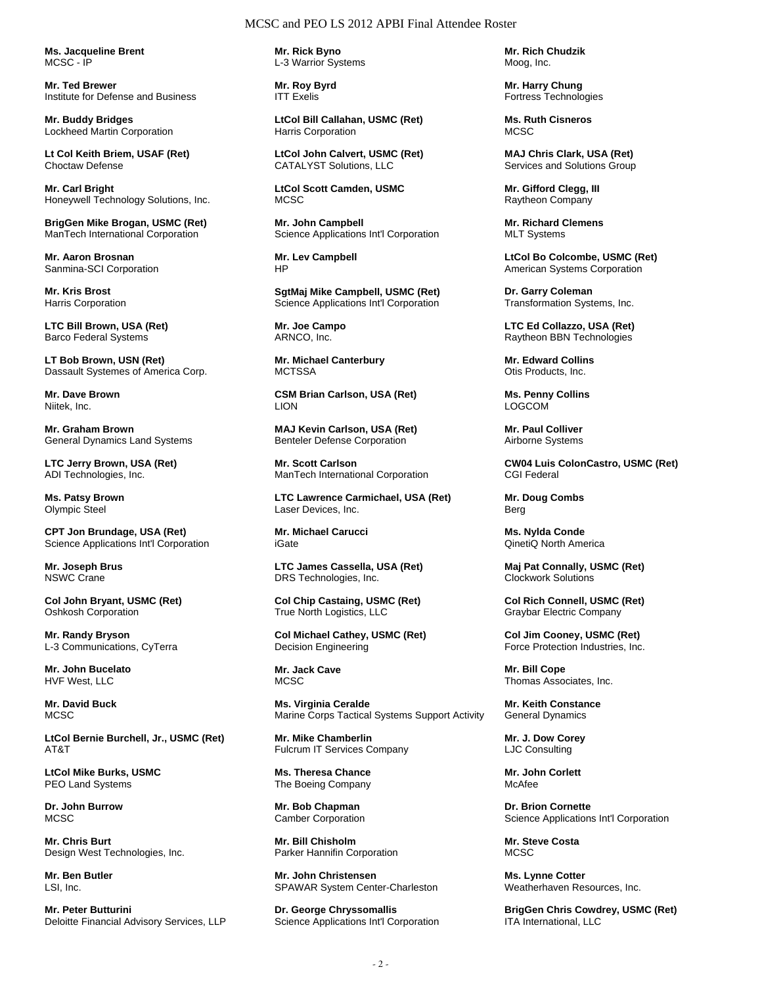**Ms. Jacqueline Brent**  MCSC - IP

**Mr. Ted Brewer**  Institute for Defense and Business

**Mr. Buddy Bridges**  Lockheed Martin Corporation

**Lt Col Keith Briem, USAF (Ret)**  Choctaw Defense

**Mr. Carl Bright**  Honeywell Technology Solutions, Inc.

**BrigGen Mike Brogan, USMC (Ret)**  ManTech International Corporation

**Mr. Aaron Brosnan**  Sanmina-SCI Corporation

**Mr. Kris Brost**  Harris Corporation

**LTC Bill Brown, USA (Ret)**  Barco Federal Systems

**LT Bob Brown, USN (Ret)**  Dassault Systemes of America Corp.

**Mr. Dave Brown**  Niitek, Inc.

**Mr. Graham Brown**  General Dynamics Land Systems

**LTC Jerry Brown, USA (Ret)**  ADI Technologies, Inc.

**Ms. Patsy Brown**  Olympic Steel

**CPT Jon Brundage, USA (Ret)**  Science Applications Int'l Corporation

**Mr. Joseph Brus**  NSWC Crane

**Col John Bryant, USMC (Ret)**  Oshkosh Corporation

**Mr. Randy Bryson**  L-3 Communications, CyTerra

**Mr. John Bucelato**  HVF West, LLC

**Mr. David Buck**  MCSC

**LtCol Bernie Burchell, Jr., USMC (Ret)**  AT&T

**LtCol Mike Burks, USMC**  PEO Land Systems

**Dr. John Burrow**  MC<sub>SC</sub>

**Mr. Chris Burt**  Design West Technologies, Inc.

**Mr. Ben Butler**  LSI, Inc.

**Mr. Peter Butturini**  Deloitte Financial Advisory Services, LLP **Mr. Rick Byno**  L-3 Warrior Systems

**Mr. Roy Byrd**  ITT Exelis

**LtCol Bill Callahan, USMC (Ret)**  Harris Corporation

**LtCol John Calvert, USMC (Ret)**  CATALYST Solutions, LLC

**LtCol Scott Camden, USMC**  MCSC

**Mr. John Campbell**  Science Applications Int'l Corporation

**Mr. Lev Campbell**  HP

**SgtMaj Mike Campbell, USMC (Ret)**  Science Applications Int'l Corporation

**Mr. Joe Campo**  ARNCO, Inc.

**Mr. Michael Canterbury MCTSSA** 

**CSM Brian Carlson, USA (Ret)**  LION

**MAJ Kevin Carlson, USA (Ret)**  Benteler Defense Corporation

**Mr. Scott Carlson**  ManTech International Corporation

**LTC Lawrence Carmichael, USA (Ret)**  Laser Devices, Inc.

**Mr. Michael Carucci**  iGate

**LTC James Cassella, USA (Ret)**  DRS Technologies, Inc.

**Col Chip Castaing, USMC (Ret)**  True North Logistics, LLC

**Col Michael Cathey, USMC (Ret)**  Decision Engineering

**Mr. Jack Cave MCSC** 

**Ms. Virginia Ceralde**  Marine Corps Tactical Systems Support Activity

**Mr. Mike Chamberlin**  Fulcrum IT Services Company

**Ms. Theresa Chance**  The Boeing Company

**Mr. Bob Chapman**  Camber Corporation

**Mr. Bill Chisholm**  Parker Hannifin Corporation

**Mr. John Christensen**  SPAWAR System Center-Charleston

**Dr. George Chryssomallis**  Science Applications Int'l Corporation **Mr. Rich Chudzik**  Moog, Inc.

**Mr. Harry Chung**  Fortress Technologies

**Ms. Ruth Cisneros**  MCSC.

**MAJ Chris Clark, USA (Ret)**  Services and Solutions Group

**Mr. Gifford Clegg, III**  Raytheon Company

**Mr. Richard Clemens**  MLT Systems

**LtCol Bo Colcombe, USMC (Ret)**  American Systems Corporation

**Dr. Garry Coleman**  Transformation Systems, Inc.

**LTC Ed Collazzo, USA (Ret)**  Raytheon BBN Technologies

**Mr. Edward Collins**  Otis Products, Inc.

**Ms. Penny Collins**  LOGCOM

**Mr. Paul Colliver**  Airborne Systems

**CW04 Luis ColonCastro, USMC (Ret)**  CGI Federal

**Mr. Doug Combs**  Berg

**Ms. Nylda Conde**  QinetiQ North America

**Maj Pat Connally, USMC (Ret)**  Clockwork Solutions

**Col Rich Connell, USMC (Ret)**  Graybar Electric Company

**Col Jim Cooney, USMC (Ret)**  Force Protection Industries, Inc.

**Mr. Bill Cope**  Thomas Associates, Inc.

**Mr. Keith Constance**  General Dynamics

**Mr. J. Dow Corey**  LJC Consulting

**Mr. John Corlett**  McAfee

**Dr. Brion Cornette**  Science Applications Int'l Corporation

**Mr. Steve Costa**  MCSC

**Ms. Lynne Cotter**  Weatherhaven Resources, Inc.

**BrigGen Chris Cowdrey, USMC (Ret)**  ITA International, LLC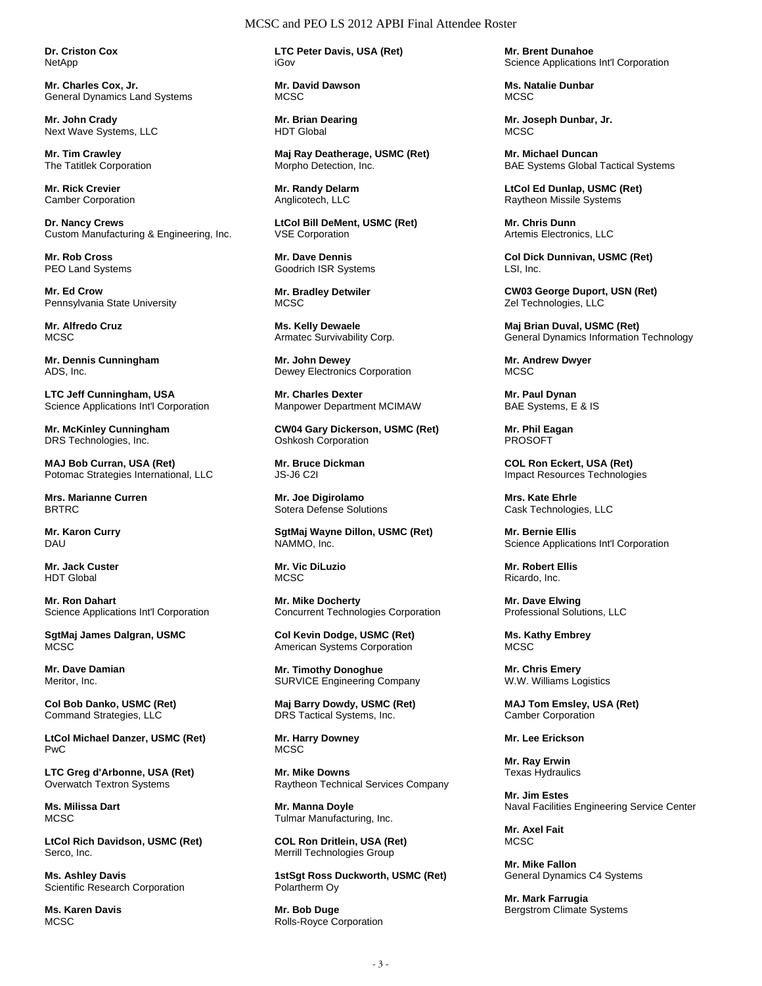**Dr. Criston Cox**  NetApp

**Mr. Charles Cox, Jr.**  General Dynamics Land Systems

**Mr. John Crady**  Next Wave Systems, LLC

**Mr. Tim Crawley**  The Tatitlek Corporation

**Mr. Rick Crevier**  Camber Corporation

**Dr. Nancy Crews**  Custom Manufacturing & Engineering, Inc.

**Mr. Rob Cross**  PEO Land Systems

**Mr. Ed Crow**  Pennsylvania State University

**Mr. Alfredo Cruz**  MCSC

**Mr. Dennis Cunningham**  ADS, Inc.

**LTC Jeff Cunningham, USA**  Science Applications Int'l Corporation

**Mr. McKinley Cunningham**  DRS Technologies, Inc.

**MAJ Bob Curran, USA (Ret)**  Potomac Strategies International, LLC

**Mrs. Marianne Curren**  BRTRC

**Mr. Karon Curry**  DAU

**Mr. Jack Custer**  HDT Global

**Mr. Ron Dahart**  Science Applications Int'l Corporation

**SgtMaj James Dalgran, USMC MCSC** 

**Mr. Dave Damian**  Meritor, Inc.

**Col Bob Danko, USMC (Ret)**  Command Strategies, LLC

**LtCol Michael Danzer, USMC (Ret)**  PwC

**LTC Greg d'Arbonne, USA (Ret)**  Overwatch Textron Systems

**Ms. Milissa Dart MCSC** 

**LtCol Rich Davidson, USMC (Ret)**  Serco, Inc.

**Ms. Ashley Davis**  Scientific Research Corporation

**Ms. Karen Davis MCSC** 

**LTC Peter Davis, USA (Ret)**  iGov

**Mr. David Dawson**  MCSC.

**Mr. Brian Dearing**  HDT Global

**Maj Ray Deatherage, USMC (Ret)**  Morpho Detection, Inc.

**Mr. Randy Delarm**  Anglicotech, LLC

**LtCol Bill DeMent, USMC (Ret)**  VSE Corporation

**Mr. Dave Dennis**  Goodrich ISR Systems

**Mr. Bradley Detwiler MCSC** 

**Ms. Kelly Dewaele**  Armatec Survivability Corp.

**Mr. John Dewey**  Dewey Electronics Corporation

**Mr. Charles Dexter**  Manpower Department MCIMAW

**CW04 Gary Dickerson, USMC (Ret)**  Oshkosh Corporation

**Mr. Bruce Dickman**  JS-J6 C2I

**Mr. Joe Digirolamo**  Sotera Defense Solutions

**SgtMaj Wayne Dillon, USMC (Ret)**  NAMMO, Inc.

**Mr. Vic DiLuzio**  MCSC

**Mr. Mike Docherty**  Concurrent Technologies Corporation

**Col Kevin Dodge, USMC (Ret)**  American Systems Corporation

**Mr. Timothy Donoghue**  SURVICE Engineering Company

**Maj Barry Dowdy, USMC (Ret)**  DRS Tactical Systems, Inc.

**Mr. Harry Downey**  MCSC

**Mr. Mike Downs**  Raytheon Technical Services Company

**Mr. Manna Doyle**  Tulmar Manufacturing, Inc.

**COL Ron Dritlein, USA (Ret)**  Merrill Technologies Group

**1stSgt Ross Duckworth, USMC (Ret)**  Polartherm Oy

**Mr. Bob Duge**  Rolls-Royce Corporation **Mr. Brent Dunahoe**  Science Applications Int'l Corporation

**Ms. Natalie Dunbar**  MC<sub>SC</sub>

**Mr. Joseph Dunbar, Jr.**  MCSC.

**Mr. Michael Duncan**  BAE Systems Global Tactical Systems

**LtCol Ed Dunlap, USMC (Ret)**  Raytheon Missile Systems

**Mr. Chris Dunn**  Artemis Electronics, LLC

**Col Dick Dunnivan, USMC (Ret)**  LSI, Inc.

**CW03 George Duport, USN (Ret)**  Zel Technologies, LLC

**Maj Brian Duval, USMC (Ret)**  General Dynamics Information Technology

**Mr. Andrew Dwyer**  MCSC

**Mr. Paul Dynan**  BAE Systems, E & IS

**Mr. Phil Eagan**  PROSOFT

**COL Ron Eckert, USA (Ret)**  Impact Resources Technologies

**Mrs. Kate Ehrle**  Cask Technologies, LLC

**Mr. Bernie Ellis**  Science Applications Int'l Corporation

**Mr. Robert Ellis**  Ricardo, Inc.

**Mr. Dave Elwing**  Professional Solutions, LLC

**Ms. Kathy Embrey MCSC** 

**Mr. Chris Emery**  W.W. Williams Logistics

**MAJ Tom Emsley, USA (Ret)**  Camber Corporation

**Mr. Lee Erickson** 

**Mr. Ray Erwin**  Texas Hydraulics

**Mr. Jim Estes**  Naval Facilities Engineering Service Center

**Mr. Axel Fait MCSC** 

**Mr. Mike Fallon**  General Dynamics C4 Systems

**Mr. Mark Farrugia**  Bergstrom Climate Systems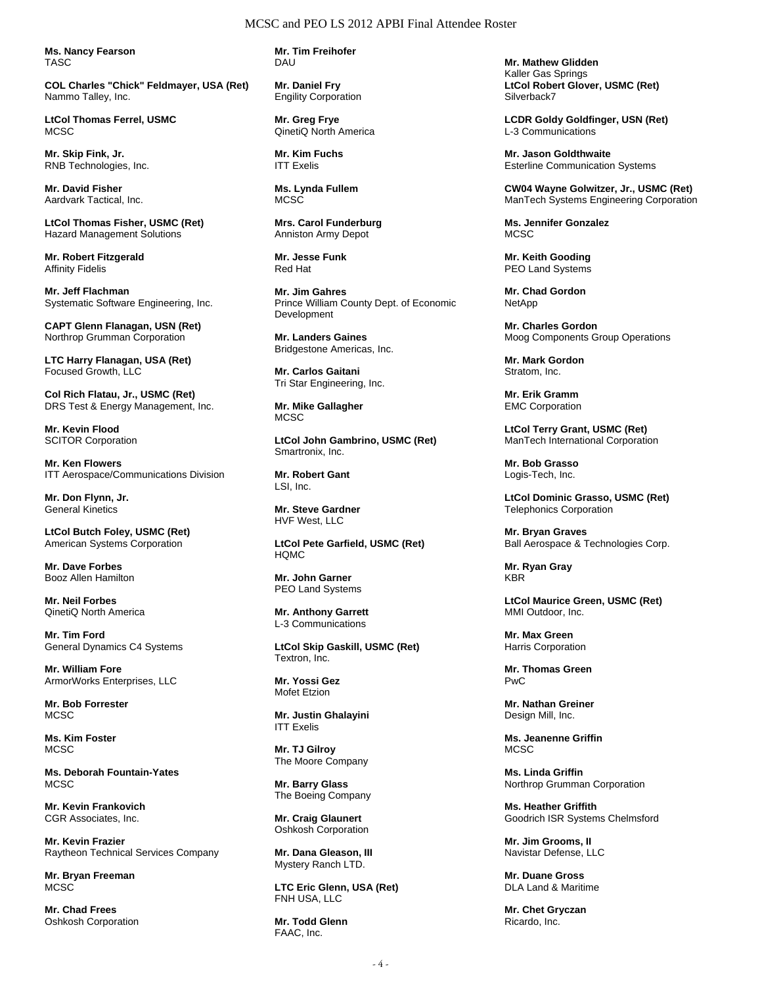**Ms. Nancy Fearson**  TASC

**COL Charles "Chick" Feldmayer, USA (Ret)**  Nammo Talley, Inc.

**LtCol Thomas Ferrel, USMC MCSC** 

**Mr. Skip Fink, Jr.**  RNB Technologies, Inc.

**Mr. David Fisher**  Aardvark Tactical, Inc.

**LtCol Thomas Fisher, USMC (Ret)**  Hazard Management Solutions

**Mr. Robert Fitzgerald**  Affinity Fidelis

**Mr. Jeff Flachman**  Systematic Software Engineering, Inc.

**CAPT Glenn Flanagan, USN (Ret)**  Northrop Grumman Corporation

**LTC Harry Flanagan, USA (Ret)**  Focused Growth, LLC

**Col Rich Flatau, Jr., USMC (Ret)**  DRS Test & Energy Management, Inc.

**Mr. Kevin Flood**  SCITOR Corporation

**Mr. Ken Flowers**  ITT Aerospace/Communications Division

**Mr. Don Flynn, Jr.**  General Kinetics

**LtCol Butch Foley, USMC (Ret)**  American Systems Corporation

**Mr. Dave Forbes**  Booz Allen Hamilton

**Mr. Neil Forbes**  QinetiQ North America

**Mr. Tim Ford**  General Dynamics C4 Systems

**Mr. William Fore**  ArmorWorks Enterprises, LLC

**Mr. Bob Forrester**  MCSC

**Ms. Kim Foster MCSC** 

**Ms. Deborah Fountain-Yates**  MCSC

**Mr. Kevin Frankovich**  CGR Associates, Inc.

**Mr. Kevin Frazier**  Raytheon Technical Services Company

**Mr. Bryan Freeman MCSC** 

**Mr. Chad Frees**  Oshkosh Corporation **Mr. Tim Freihofer**  DAU

**Mr. Daniel Fry**  Engility Corporation

**Mr. Greg Frye**  QinetiQ North America

**Mr. Kim Fuchs**  ITT Exelis

**Ms. Lynda Fullem**  MCSC

**Mrs. Carol Funderburg**  Anniston Army Depot

**Mr. Jesse Funk**  Red Hat

**Mr. Jim Gahres**  Prince William County Dept. of Economic Development

**Mr. Landers Gaines**  Bridgestone Americas, Inc.

**Mr. Carlos Gaitani**  Tri Star Engineering, Inc.

**Mr. Mike Gallagher MCSC** 

**LtCol John Gambrino, USMC (Ret)**  Smartronix, Inc.

**Mr. Robert Gant**  LSI, Inc.

**Mr. Steve Gardner**  HVF West, LLC

**LtCol Pete Garfield, USMC (Ret)**  HQMC

**Mr. John Garner**  PEO Land Systems

**Mr. Anthony Garrett**  L-3 Communications

**LtCol Skip Gaskill, USMC (Ret)**  Textron, Inc.

**Mr. Yossi Gez**  Mofet Etzion

**Mr. Justin Ghalayini**  ITT Exelis

**Mr. TJ Gilroy**  The Moore Company

**Mr. Barry Glass**  The Boeing Company

**Mr. Craig Glaunert**  Oshkosh Corporation

**Mr. Dana Gleason, III**  Mystery Ranch LTD.

**LTC Eric Glenn, USA (Ret)**  FNH USA, LLC

**Mr. Todd Glenn**  FAAC, Inc.

**Mr. Mathew Glidden**  Kaller Gas Springs **LtCol Robert Glover, USMC (Ret)**  Silverback7

**LCDR Goldy Goldfinger, USN (Ret)**  L-3 Communications

**Mr. Jason Goldthwaite**  Esterline Communication Systems

**CW04 Wayne Golwitzer, Jr., USMC (Ret)**  ManTech Systems Engineering Corporation

**Ms. Jennifer Gonzalez MCSC** 

**Mr. Keith Gooding**  PEO Land Systems

**Mr. Chad Gordon**  NetApp

**Mr. Charles Gordon**  Moog Components Group Operations

**Mr. Mark Gordon**  Stratom, Inc.

**Mr. Erik Gramm**  EMC Corporation

**LtCol Terry Grant, USMC (Ret)**  ManTech International Corporation

**Mr. Bob Grasso**  Logis-Tech, Inc.

**LtCol Dominic Grasso, USMC (Ret)**  Telephonics Corporation

**Mr. Bryan Graves**  Ball Aerospace & Technologies Corp.

**Mr. Ryan Gray**  KBR

**LtCol Maurice Green, USMC (Ret)**  MMI Outdoor, Inc.

**Mr. Max Green**  Harris Corporation

**Mr. Thomas Green**  PwC

**Mr. Nathan Greiner**  Design Mill, Inc.

**Ms. Jeanenne Griffin MCSC** 

**Ms. Linda Griffin**  Northrop Grumman Corporation

**Ms. Heather Griffith**  Goodrich ISR Systems Chelmsford

**Mr. Jim Grooms, II**  Navistar Defense, LLC

**Mr. Duane Gross**  DLA Land & Maritime

**Mr. Chet Gryczan**  Ricardo, Inc.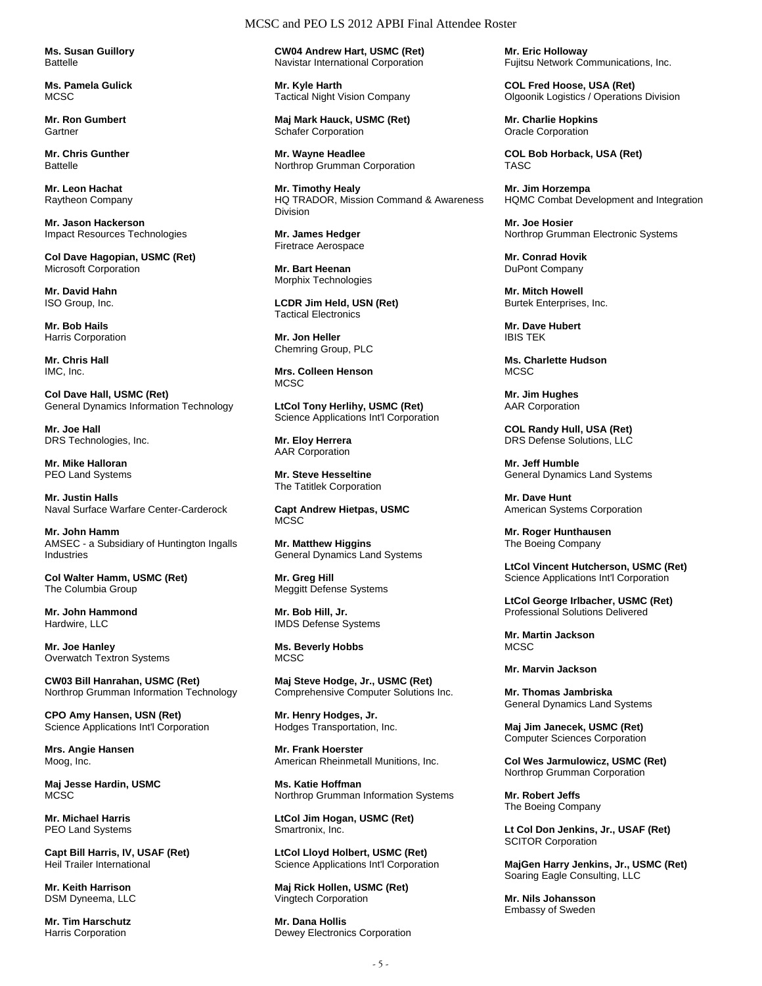**Ms. Susan Guillory Battelle** 

**Ms. Pamela Gulick**  MC<sub>SC</sub>

**Mr. Ron Gumbert Gartner** 

**Mr. Chris Gunther Battelle** 

**Mr. Leon Hachat**  Raytheon Company

**Mr. Jason Hackerson**  Impact Resources Technologies

**Col Dave Hagopian, USMC (Ret)**  Microsoft Corporation

**Mr. David Hahn**  ISO Group, Inc.

**Mr. Bob Hails**  Harris Corporation

**Mr. Chris Hall**  IMC, Inc.

**Col Dave Hall, USMC (Ret)**  General Dynamics Information Technology

**Mr. Joe Hall**  DRS Technologies, Inc.

**Mr. Mike Halloran**  PEO Land Systems

**Mr. Justin Halls**  Naval Surface Warfare Center-Carderock

**Mr. John Hamm**  AMSEC - a Subsidiary of Huntington Ingalls Industries

**Col Walter Hamm, USMC (Ret)**  The Columbia Group

**Mr. John Hammond**  Hardwire, LLC

**Mr. Joe Hanley**  Overwatch Textron Systems

**CW03 Bill Hanrahan, USMC (Ret)**  Northrop Grumman Information Technology

**CPO Amy Hansen, USN (Ret)**  Science Applications Int'l Corporation

**Mrs. Angie Hansen**  Moog, Inc.

**Maj Jesse Hardin, USMC MCSC** 

**Mr. Michael Harris**  PEO Land Systems

**Capt Bill Harris, IV, USAF (Ret)**  Heil Trailer International

**Mr. Keith Harrison**  DSM Dyneema, LLC

**Mr. Tim Harschutz**  Harris Corporation

#### MCSC and PEO LS 2012 APBI Final Attendee Roster

**CW04 Andrew Hart, USMC (Ret)**  Navistar International Corporation

**Mr. Kyle Harth**  Tactical Night Vision Company

**Maj Mark Hauck, USMC (Ret)**  Schafer Corporation

**Mr. Wayne Headlee**  Northrop Grumman Corporation

**Mr. Timothy Healy**  HQ TRADOR, Mission Command & Awareness Division

**Mr. James Hedger**  Firetrace Aerospace

**Mr. Bart Heenan**  Morphix Technologies

**LCDR Jim Held, USN (Ret)**  Tactical Electronics

**Mr. Jon Heller**  Chemring Group, PLC

**Mrs. Colleen Henson**  MCSC

**LtCol Tony Herlihy, USMC (Ret)**  Science Applications Int'l Corporation

**Mr. Eloy Herrera**  AAR Corporation

**Mr. Steve Hesseltine**  The Tatitlek Corporation

**Capt Andrew Hietpas, USMC**  MCSC

**Mr. Matthew Higgins**  General Dynamics Land Systems

**Mr. Greg Hill**  Meggitt Defense Systems

**Mr. Bob Hill, Jr.**  IMDS Defense Systems

**Ms. Beverly Hobbs MCSC** 

**Maj Steve Hodge, Jr., USMC (Ret)**  Comprehensive Computer Solutions Inc.

**Mr. Henry Hodges, Jr.**  Hodges Transportation, Inc.

**Mr. Frank Hoerster**  American Rheinmetall Munitions, Inc.

**Ms. Katie Hoffman**  Northrop Grumman Information Systems

**LtCol Jim Hogan, USMC (Ret)**  Smartronix, Inc.

**LtCol Lloyd Holbert, USMC (Ret)**  Science Applications Int'l Corporation

**Maj Rick Hollen, USMC (Ret)**  Vingtech Corporation

**Mr. Dana Hollis**  Dewey Electronics Corporation **Mr. Eric Holloway**  Fujitsu Network Communications, Inc.

**COL Fred Hoose, USA (Ret)**  Olgoonik Logistics / Operations Division

**Mr. Charlie Hopkins**  Oracle Corporation

**COL Bob Horback, USA (Ret)**  TASC

**Mr. Jim Horzempa**  HQMC Combat Development and Integration

**Mr. Joe Hosier**  Northrop Grumman Electronic Systems

**Mr. Conrad Hovik**  DuPont Company

**Mr. Mitch Howell**  Burtek Enterprises, Inc.

**Mr. Dave Hubert**  IBIS TEK

**Ms. Charlette Hudson MCSC** 

**Mr. Jim Hughes**  AAR Corporation

**COL Randy Hull, USA (Ret)**  DRS Defense Solutions, LLC

**Mr. Jeff Humble**  General Dynamics Land Systems

**Mr. Dave Hunt**  American Systems Corporation

**Mr. Roger Hunthausen**  The Boeing Company

**LtCol Vincent Hutcherson, USMC (Ret)**  Science Applications Int'l Corporation

**LtCol George Irlbacher, USMC (Ret)**  Professional Solutions Delivered

**Mr. Martin Jackson**  MCSC.

**Mr. Marvin Jackson** 

**Mr. Thomas Jambriska**  General Dynamics Land Systems

**Maj Jim Janecek, USMC (Ret)**  Computer Sciences Corporation

**Col Wes Jarmulowicz, USMC (Ret)**  Northrop Grumman Corporation

**Mr. Robert Jeffs**  The Boeing Company

**Lt Col Don Jenkins, Jr., USAF (Ret) SCITOR Corporation** 

**MajGen Harry Jenkins, Jr., USMC (Ret)**  Soaring Eagle Consulting, LLC

**Mr. Nils Johansson**  Embassy of Sweden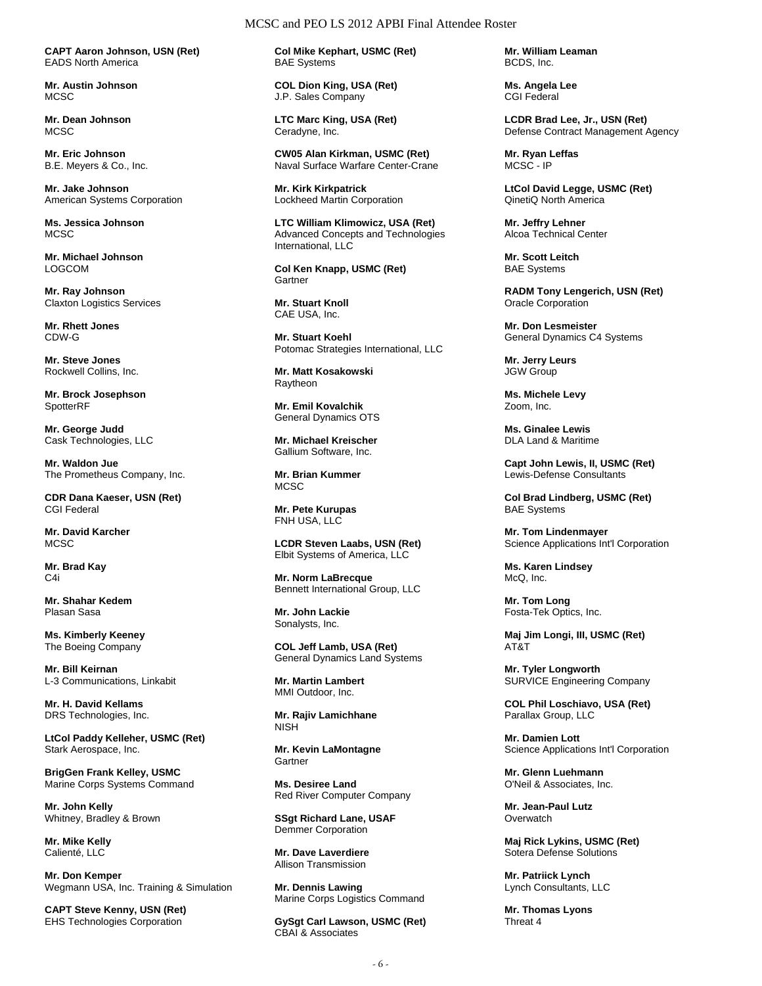**CAPT Aaron Johnson, USN (Ret)**  EADS North America

**Mr. Austin Johnson**  MC<sub>SC</sub>

**Mr. Dean Johnson**  MC<sub>SC</sub>

**Mr. Eric Johnson**  B.E. Meyers & Co., Inc.

**Mr. Jake Johnson**  American Systems Corporation

**Ms. Jessica Johnson MCSC** 

**Mr. Michael Johnson**  LOGCOM

**Mr. Ray Johnson**  Claxton Logistics Services

**Mr. Rhett Jones**  CDW-G

**Mr. Steve Jones**  Rockwell Collins, Inc.

**Mr. Brock Josephson**  SpotterRF

**Mr. George Judd**  Cask Technologies, LLC

**Mr. Waldon Jue**  The Prometheus Company, Inc.

**CDR Dana Kaeser, USN (Ret)**  CGI Federal

**Mr. David Karcher MCSC** 

**Mr. Brad Kay**  C4i

**Mr. Shahar Kedem**  Plasan Sasa

**Ms. Kimberly Keeney**  The Boeing Company

**Mr. Bill Keirnan**  L-3 Communications, Linkabit

**Mr. H. David Kellams**  DRS Technologies, Inc.

**LtCol Paddy Kelleher, USMC (Ret)**  Stark Aerospace, Inc.

**BrigGen Frank Kelley, USMC**  Marine Corps Systems Command

**Mr. John Kelly**  Whitney, Bradley & Brown

**Mr. Mike Kelly**  Calienté, LLC

**Mr. Don Kemper**  Wegmann USA, Inc. Training & Simulation

**CAPT Steve Kenny, USN (Ret)**  EHS Technologies Corporation

**Col Mike Kephart, USMC (Ret)**  BAE Systems

MCSC and PEO LS 2012 APBI Final Attendee Roster

**COL Dion King, USA (Ret)**  J.P. Sales Company

**LTC Marc King, USA (Ret)**  Ceradyne, Inc.

**CW05 Alan Kirkman, USMC (Ret)**  Naval Surface Warfare Center-Crane

**Mr. Kirk Kirkpatrick**  Lockheed Martin Corporation

**LTC William Klimowicz, USA (Ret)**  Advanced Concepts and Technologies International, LLC

**Col Ken Knapp, USMC (Ret)**  Gartner

**Mr. Stuart Knoll**  CAE USA, Inc.

**Mr. Stuart Koehl**  Potomac Strategies International, LLC

**Mr. Matt Kosakowski**  Raytheon

**Mr. Emil Kovalchik**  General Dynamics OTS

**Mr. Michael Kreischer**  Gallium Software, Inc.

**Mr. Brian Kummer MCSC** 

**Mr. Pete Kurupas**  FNH USA, LLC

**LCDR Steven Laabs, USN (Ret)**  Elbit Systems of America, LLC

**Mr. Norm LaBrecque**  Bennett International Group, LLC

**Mr. John Lackie**  Sonalysts, Inc.

**COL Jeff Lamb, USA (Ret)**  General Dynamics Land Systems

**Mr. Martin Lambert**  MMI Outdoor, Inc.

**Mr. Rajiv Lamichhane**  NISH

**Mr. Kevin LaMontagne Gartner** 

**Ms. Desiree Land**  Red River Computer Company

**SSgt Richard Lane, USAF**  Demmer Corporation

**Mr. Dave Laverdiere**  Allison Transmission

**Mr. Dennis Lawing**  Marine Corps Logistics Command

**GySgt Carl Lawson, USMC (Ret)**  CBAI & Associates

**Mr. William Leaman**  BCDS, Inc.

**Ms. Angela Lee**  CGI Federal

**LCDR Brad Lee, Jr., USN (Ret)**  Defense Contract Management Agency

**Mr. Ryan Leffas**  MCSC - IP

**LtCol David Legge, USMC (Ret)**  QinetiQ North America

**Mr. Jeffry Lehner**  Alcoa Technical Center

**Mr. Scott Leitch**  BAE Systems

**RADM Tony Lengerich, USN (Ret)**  Oracle Corporation

**Mr. Don Lesmeister**  General Dynamics C4 Systems

**Mr. Jerry Leurs**  JGW Group

**Ms. Michele Levy**  Zoom, Inc.

**Ms. Ginalee Lewis**  DLA Land & Maritime

**Capt John Lewis, II, USMC (Ret)**  Lewis-Defense Consultants

**Col Brad Lindberg, USMC (Ret)**  BAE Systems

**Mr. Tom Lindenmayer**  Science Applications Int'l Corporation

**Ms. Karen Lindsey**  McQ, Inc.

**Mr. Tom Long**  Fosta-Tek Optics, Inc.

**Maj Jim Longi, III, USMC (Ret)**  AT&T

**Mr. Tyler Longworth**  SURVICE Engineering Company

**COL Phil Loschiavo, USA (Ret)**  Parallax Group, LLC

**Mr. Damien Lott**  Science Applications Int'l Corporation

**Mr. Glenn Luehmann**  O'Neil & Associates, Inc.

**Mr. Jean-Paul Lutz Overwatch** 

**Maj Rick Lykins, USMC (Ret)**  Sotera Defense Solutions

**Mr. Patriick Lynch**  Lynch Consultants, LLC

**Mr. Thomas Lyons**  Threat 4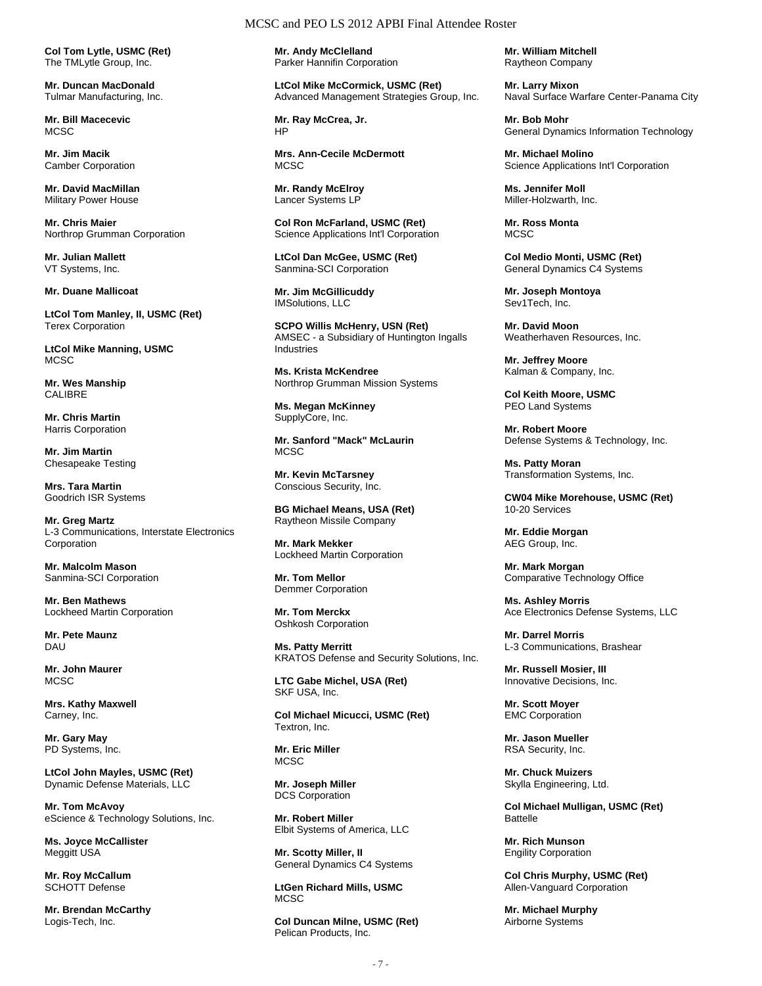**Col Tom Lytle, USMC (Ret)**  The TMLytle Group, Inc.

**Mr. Duncan MacDonald**  Tulmar Manufacturing, Inc.

**Mr. Bill Macecevic**  MCSC.

**Mr. Jim Macik**  Camber Corporation

**Mr. David MacMillan**  Military Power House

**Mr. Chris Maier**  Northrop Grumman Corporation

**Mr. Julian Mallett**  VT Systems, Inc.

**Mr. Duane Mallicoat** 

**LtCol Tom Manley, II, USMC (Ret)**  Terex Corporation

**LtCol Mike Manning, USMC**  MCSC

**Mr. Wes Manship**  CALIBRE

**Mr. Chris Martin**  Harris Corporation

**Mr. Jim Martin**  Chesapeake Testing

**Mrs. Tara Martin**  Goodrich ISR Systems

**Mr. Greg Martz**  L-3 Communications, Interstate Electronics Corporation

**Mr. Malcolm Mason**  Sanmina-SCI Corporation

**Mr. Ben Mathews**  Lockheed Martin Corporation

**Mr. Pete Maunz**  DAU

**Mr. John Maurer MCSC** 

**Mrs. Kathy Maxwell**  Carney, Inc.

**Mr. Gary May**  PD Systems, Inc.

**LtCol John Mayles, USMC (Ret)**  Dynamic Defense Materials, LLC

**Mr. Tom McAvoy**  eScience & Technology Solutions, Inc.

**Ms. Joyce McCallister**  Meggitt USA

**Mr. Roy McCallum**  SCHOTT Defense

**Mr. Brendan McCarthy**  Logis-Tech, Inc.

## MCSC and PEO LS 2012 APBI Final Attendee Roster

**Mr. Andy McClelland**  Parker Hannifin Corporation

**LtCol Mike McCormick, USMC (Ret)**  Advanced Management Strategies Group, Inc.

**Mr. Ray McCrea, Jr.**  HP

**Mrs. Ann-Cecile McDermott MCSC** 

**Mr. Randy McElroy**  Lancer Systems LP

**Col Ron McFarland, USMC (Ret)**  Science Applications Int'l Corporation

**LtCol Dan McGee, USMC (Ret)**  Sanmina-SCI Corporation

**Mr. Jim McGillicuddy**  IMSolutions, LLC

**SCPO Willis McHenry, USN (Ret)**  AMSEC - a Subsidiary of Huntington Ingalls Industries

**Ms. Krista McKendree**  Northrop Grumman Mission Systems

**Ms. Megan McKinney**  SupplyCore, Inc.

**Mr. Sanford "Mack" McLaurin**  MCSC.

**Mr. Kevin McTarsney**  Conscious Security, Inc.

**BG Michael Means, USA (Ret)**  Raytheon Missile Company

**Mr. Mark Mekker**  Lockheed Martin Corporation

**Mr. Tom Mellor**  Demmer Corporation

**Mr. Tom Merckx**  Oshkosh Corporation

**Ms. Patty Merritt**  KRATOS Defense and Security Solutions, Inc.

**LTC Gabe Michel, USA (Ret)**  SKF USA, Inc.

**Col Michael Micucci, USMC (Ret)**  Textron, Inc.

**Mr. Eric Miller**  MCSC.

**Mr. Joseph Miller**  DCS Corporation

**Mr. Robert Miller**  Elbit Systems of America, LLC

**Mr. Scotty Miller, II**  General Dynamics C4 Systems

**LtGen Richard Mills, USMC MCSC** 

**Col Duncan Milne, USMC (Ret)**  Pelican Products, Inc.

**Mr. William Mitchell**  Raytheon Company

**Mr. Larry Mixon**  Naval Surface Warfare Center-Panama City

**Mr. Bob Mohr**  General Dynamics Information Technology

**Mr. Michael Molino**  Science Applications Int'l Corporation

**Ms. Jennifer Moll**  Miller-Holzwarth, Inc.

**Mr. Ross Monta MCSC** 

**Col Medio Monti, USMC (Ret)**  General Dynamics C4 Systems

**Mr. Joseph Montoya**  Sev1Tech, Inc.

**Mr. David Moon**  Weatherhaven Resources, Inc.

**Mr. Jeffrey Moore**  Kalman & Company, Inc.

**Col Keith Moore, USMC**  PEO Land Systems

**Mr. Robert Moore**  Defense Systems & Technology, Inc.

**Ms. Patty Moran**  Transformation Systems, Inc.

**CW04 Mike Morehouse, USMC (Ret)**  10-20 Services

**Mr. Eddie Morgan**  AEG Group, Inc.

**Mr. Mark Morgan**  Comparative Technology Office

**Ms. Ashley Morris**  Ace Electronics Defense Systems, LLC

**Mr. Darrel Morris**  L-3 Communications, Brashear

**Mr. Russell Mosier, III**  Innovative Decisions, Inc.

**Mr. Scott Moyer**  EMC Corporation

**Mr. Jason Mueller**  RSA Security, Inc.

**Mr. Chuck Muizers**  Skylla Engineering, Ltd.

**Col Michael Mulligan, USMC (Ret)**  Battelle

**Mr. Rich Munson**  Engility Corporation

**Col Chris Murphy, USMC (Ret)**  Allen-Vanguard Corporation

**Mr. Michael Murphy**  Airborne Systems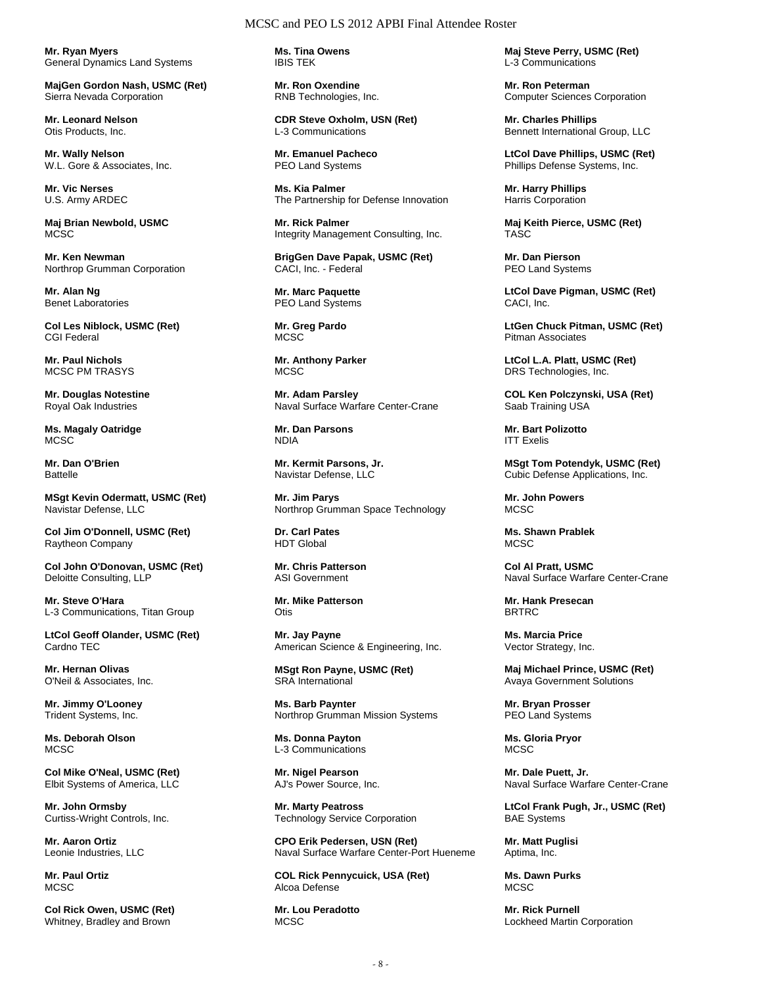**Mr. Ryan Myers**  General Dynamics Land Systems

**MajGen Gordon Nash, USMC (Ret)**  Sierra Nevada Corporation

**Mr. Leonard Nelson**  Otis Products, Inc.

**Mr. Wally Nelson**  W.L. Gore & Associates, Inc.

**Mr. Vic Nerses**  U.S. Army ARDEC

**Maj Brian Newbold, USMC MCSC** 

**Mr. Ken Newman**  Northrop Grumman Corporation

**Mr. Alan Ng**  Benet Laboratories

**Col Les Niblock, USMC (Ret)**  CGI Federal

**Mr. Paul Nichols**  MCSC PM TRASYS

**Mr. Douglas Notestine**  Royal Oak Industries

**Ms. Magaly Oatridge MCSC** 

**Mr. Dan O'Brien Battelle** 

**MSgt Kevin Odermatt, USMC (Ret)**  Navistar Defense, LLC

**Col Jim O'Donnell, USMC (Ret)**  Raytheon Company

**Col John O'Donovan, USMC (Ret)**  Deloitte Consulting, LLP

**Mr. Steve O'Hara**  L-3 Communications, Titan Group

**LtCol Geoff Olander, USMC (Ret)**  Cardno TEC

**Mr. Hernan Olivas**  O'Neil & Associates, Inc.

**Mr. Jimmy O'Looney**  Trident Systems, Inc.

**Ms. Deborah Olson MCSC** 

**Col Mike O'Neal, USMC (Ret)**  Elbit Systems of America, LLC

**Mr. John Ormsby**  Curtiss-Wright Controls, Inc.

**Mr. Aaron Ortiz**  Leonie Industries, LLC

**Mr. Paul Ortiz MCSC** 

**Col Rick Owen, USMC (Ret)**  Whitney, Bradley and Brown

**Ms. Tina Owens**  IBIS TEK

**Mr. Ron Oxendine**  RNB Technologies, Inc.

**CDR Steve Oxholm, USN (Ret)**  L-3 Communications

**Mr. Emanuel Pacheco**  PEO Land Systems

**Ms. Kia Palmer**  The Partnership for Defense Innovation

**Mr. Rick Palmer**  Integrity Management Consulting, Inc.

**BrigGen Dave Papak, USMC (Ret)**  CACI, Inc. - Federal

**Mr. Marc Paquette**  PEO Land Systems

**Mr. Greg Pardo**  MCSC

**Mr. Anthony Parker MCSC** 

**Mr. Adam Parsley**  Naval Surface Warfare Center-Crane

**Mr. Dan Parsons**  NDIA

**Mr. Kermit Parsons, Jr.**  Navistar Defense, LLC

**Mr. Jim Parys**  Northrop Grumman Space Technology

**Dr. Carl Pates**  HDT Global

**Mr. Chris Patterson**  ASI Government

**Mr. Mike Patterson Otis** 

**Mr. Jay Payne**  American Science & Engineering, Inc.

**MSgt Ron Payne, USMC (Ret)**  SRA International

**Ms. Barb Paynter**  Northrop Grumman Mission Systems

**Ms. Donna Payton**  L-3 Communications

**Mr. Nigel Pearson**  AJ's Power Source, Inc.

**Mr. Marty Peatross**  Technology Service Corporation

**CPO Erik Pedersen, USN (Ret)**  Naval Surface Warfare Center-Port Hueneme

**COL Rick Pennycuick, USA (Ret)**  Alcoa Defense

**Mr. Lou Peradotto MCSC** 

**Maj Steve Perry, USMC (Ret)**  L-3 Communications

**Mr. Ron Peterman**  Computer Sciences Corporation

**Mr. Charles Phillips**  Bennett International Group, LLC

**LtCol Dave Phillips, USMC (Ret)**  Phillips Defense Systems, Inc.

**Mr. Harry Phillips**  Harris Corporation

**Maj Keith Pierce, USMC (Ret)**  TASC

**Mr. Dan Pierson**  PEO Land Systems

**LtCol Dave Pigman, USMC (Ret)**  CACI, Inc.

**LtGen Chuck Pitman, USMC (Ret)**  Pitman Associates

**LtCol L.A. Platt, USMC (Ret)**  DRS Technologies, Inc.

**COL Ken Polczynski, USA (Ret)**  Saab Training USA

**Mr. Bart Polizotto**  ITT Exelis

**MSgt Tom Potendyk, USMC (Ret)**  Cubic Defense Applications, Inc.

**Mr. John Powers**  MCSC

**Ms. Shawn Prablek MCSC** 

**Col Al Pratt, USMC**  Naval Surface Warfare Center-Crane

**Mr. Hank Presecan**  BRTRC

**Ms. Marcia Price**  Vector Strategy, Inc.

**Maj Michael Prince, USMC (Ret)**  Avaya Government Solutions

**Mr. Bryan Prosser**  PEO Land Systems

**Ms. Gloria Pryor**  MCSC

**Mr. Dale Puett, Jr.**  Naval Surface Warfare Center-Crane

**LtCol Frank Pugh, Jr., USMC (Ret)**  BAE Systems

**Mr. Matt Puglisi**  Aptima, Inc.

**Ms. Dawn Purks**  MCSC

**Mr. Rick Purnell**  Lockheed Martin Corporation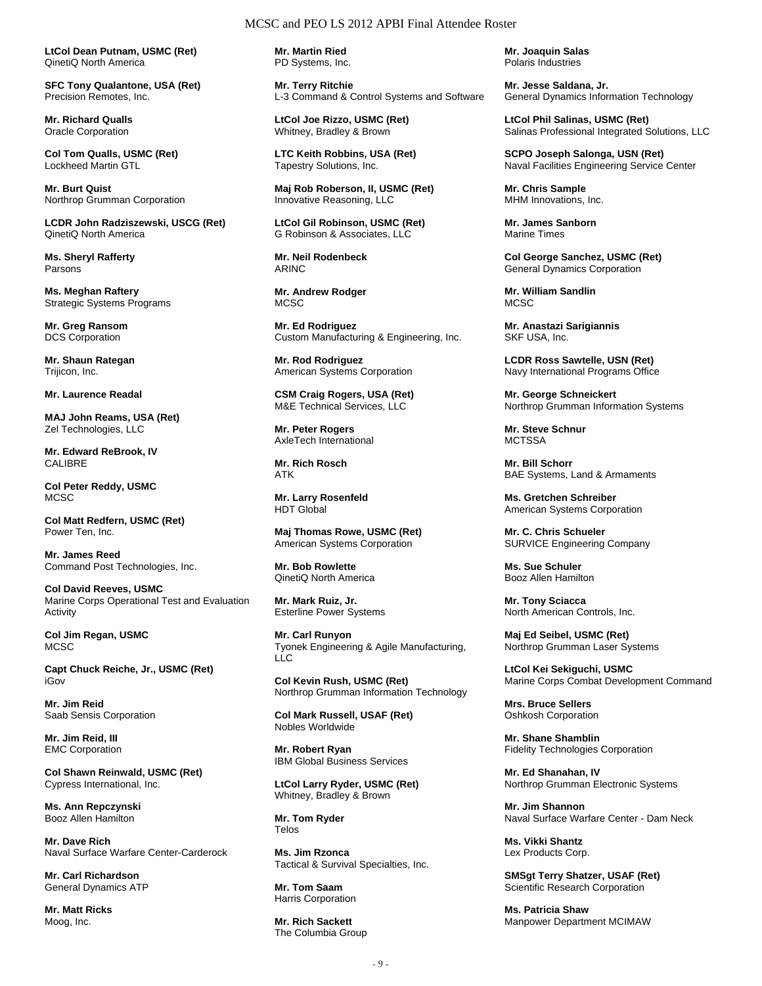**LtCol Dean Putnam, USMC (Ret)**  QinetiQ North America

**SFC Tony Qualantone, USA (Ret)**  Precision Remotes, Inc.

**Mr. Richard Qualls**  Oracle Corporation

**Col Tom Qualls, USMC (Ret)**  Lockheed Martin GTL

**Mr. Burt Quist**  Northrop Grumman Corporation

**LCDR John Radziszewski, USCG (Ret)**  QinetiQ North America

**Ms. Sheryl Rafferty**  Parsons

**Ms. Meghan Raftery**  Strategic Systems Programs

**Mr. Greg Ransom**  DCS Corporation

**Mr. Shaun Rategan**  Trijicon, Inc.

**Mr. Laurence Readal** 

**MAJ John Reams, USA (Ret)**  Zel Technologies, LLC

**Mr. Edward ReBrook, IV**  CALIBRE

**Col Peter Reddy, USMC**  MCSC

**Col Matt Redfern, USMC (Ret)**  Power Ten, Inc.

**Mr. James Reed**  Command Post Technologies, Inc.

**Col David Reeves, USMC**  Marine Corps Operational Test and Evaluation Activity

**Col Jim Regan, USMC MCSC** 

**Capt Chuck Reiche, Jr., USMC (Ret)**  iGov

**Mr. Jim Reid**  Saab Sensis Corporation

**Mr. Jim Reid, III**  EMC Corporation

**Col Shawn Reinwald, USMC (Ret)**  Cypress International, Inc.

**Ms. Ann Repczynski**  Booz Allen Hamilton

**Mr. Dave Rich**  Naval Surface Warfare Center-Carderock

**Mr. Carl Richardson**  General Dynamics ATP

**Mr. Matt Ricks**  Moog, Inc.

**Mr. Martin Ried**  PD Systems, Inc.

**Mr. Terry Ritchie**  L-3 Command & Control Systems and Software

**LtCol Joe Rizzo, USMC (Ret)**  Whitney, Bradley & Brown

**LTC Keith Robbins, USA (Ret)**  Tapestry Solutions, Inc.

**Maj Rob Roberson, II, USMC (Ret)**  Innovative Reasoning, LLC

**LtCol Gil Robinson, USMC (Ret)**  G Robinson & Associates, LLC

**Mr. Neil Rodenbeck**  ARINC

**Mr. Andrew Rodger MCSC** 

**Mr. Ed Rodriguez**  Custom Manufacturing & Engineering, Inc.

**Mr. Rod Rodriguez**  American Systems Corporation

**CSM Craig Rogers, USA (Ret)**  M&E Technical Services, LLC

**Mr. Peter Rogers**  AxleTech International

**Mr. Rich Rosch**  ATK

**Mr. Larry Rosenfeld**  HDT Global

**Maj Thomas Rowe, USMC (Ret)**  American Systems Corporation

**Mr. Bob Rowlette**  QinetiQ North America

**Mr. Mark Ruiz, Jr.**  Esterline Power Systems

**Mr. Carl Runyon**  Tyonek Engineering & Agile Manufacturing, LLC

**Col Kevin Rush, USMC (Ret)**  Northrop Grumman Information Technology

**Col Mark Russell, USAF (Ret)**  Nobles Worldwide

**Mr. Robert Ryan**  IBM Global Business Services

**LtCol Larry Ryder, USMC (Ret)**  Whitney, Bradley & Brown

**Mr. Tom Ryder**  Telos

**Ms. Jim Rzonca**  Tactical & Survival Specialties, Inc.

**Mr. Tom Saam**  Harris Corporation

**Mr. Rich Sackett**  The Columbia Group **Mr. Joaquin Salas**  Polaris Industries

**Mr. Jesse Saldana, Jr.**  General Dynamics Information Technology

**LtCol Phil Salinas, USMC (Ret)**  Salinas Professional Integrated Solutions, LLC

**SCPO Joseph Salonga, USN (Ret)**  Naval Facilities Engineering Service Center

**Mr. Chris Sample**  MHM Innovations, Inc.

**Mr. James Sanborn**  Marine Times

**Col George Sanchez, USMC (Ret)**  General Dynamics Corporation

**Mr. William Sandlin**  MCSC.

**Mr. Anastazi Sarigiannis**  SKF USA, Inc.

**LCDR Ross Sawtelle, USN (Ret)**  Navy International Programs Office

**Mr. George Schneickert**  Northrop Grumman Information Systems

**Mr. Steve Schnur MCTSSA** 

**Mr. Bill Schorr**  BAE Systems, Land & Armaments

**Ms. Gretchen Schreiber**  American Systems Corporation

**Mr. C. Chris Schueler**  SURVICE Engineering Company

**Ms. Sue Schuler**  Booz Allen Hamilton

**Mr. Tony Sciacca**  North American Controls, Inc.

**Maj Ed Seibel, USMC (Ret)**  Northrop Grumman Laser Systems

**LtCol Kei Sekiguchi, USMC**  Marine Corps Combat Development Command

**Mrs. Bruce Sellers**  Oshkosh Corporation

**Mr. Shane Shamblin**  Fidelity Technologies Corporation

**Mr. Ed Shanahan, IV**  Northrop Grumman Electronic Systems

**Mr. Jim Shannon**  Naval Surface Warfare Center - Dam Neck

**Ms. Vikki Shantz**  Lex Products Corp.

**SMSgt Terry Shatzer, USAF (Ret)**  Scientific Research Corporation

**Ms. Patricia Shaw**  Manpower Department MCIMAW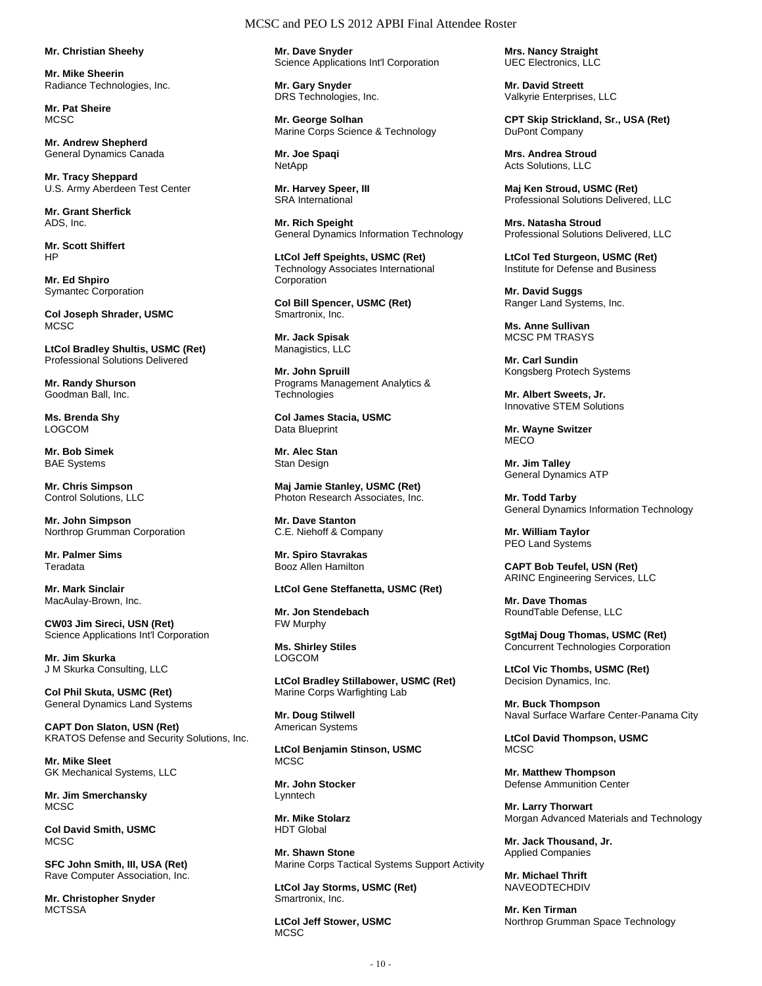**Mr. Christian Sheehy** 

**Mr. Mike Sheerin**  Radiance Technologies, Inc.

**Mr. Pat Sheire MCSC** 

**Mr. Andrew Shepherd**  General Dynamics Canada

**Mr. Tracy Sheppard**  U.S. Army Aberdeen Test Center

**Mr. Grant Sherfick**  ADS, Inc.

**Mr. Scott Shiffert**  HP

**Mr. Ed Shpiro**  Symantec Corporation

**Col Joseph Shrader, USMC MCSC** 

**LtCol Bradley Shultis, USMC (Ret)**  Professional Solutions Delivered

**Mr. Randy Shurson**  Goodman Ball, Inc.

**Ms. Brenda Shy**  LOGCOM

**Mr. Bob Simek**  BAE Systems

**Mr. Chris Simpson**  Control Solutions, LLC

**Mr. John Simpson**  Northrop Grumman Corporation

**Mr. Palmer Sims**  Teradata

**Mr. Mark Sinclair**  MacAulay-Brown, Inc.

**CW03 Jim Sireci, USN (Ret)**  Science Applications Int'l Corporation

**Mr. Jim Skurka**  J M Skurka Consulting, LLC

**Col Phil Skuta, USMC (Ret)**  General Dynamics Land Systems

**CAPT Don Slaton, USN (Ret)**  KRATOS Defense and Security Solutions, Inc.

**Mr. Mike Sleet**  GK Mechanical Systems, LLC

**Mr. Jim Smerchansky**  MCSC

**Col David Smith, USMC MCSC** 

**SFC John Smith, III, USA (Ret)**  Rave Computer Association, Inc.

**Mr. Christopher Snyder MCTSSA** 

## MCSC and PEO LS 2012 APBI Final Attendee Roster

**Mr. Dave Snyder**  Science Applications Int'l Corporation

**Mr. Gary Snyder**  DRS Technologies, Inc.

**Mr. George Solhan**  Marine Corps Science & Technology

**Mr. Joe Spaqi NetApp** 

**Mr. Harvey Speer, III**  SRA International

**Mr. Rich Speight**  General Dynamics Information Technology

**LtCol Jeff Speights, USMC (Ret)**  Technology Associates International Corporation

**Col Bill Spencer, USMC (Ret)**  Smartronix, Inc.

**Mr. Jack Spisak**  Managistics, LLC

**Mr. John Spruill**  Programs Management Analytics & **Technologies** 

**Col James Stacia, USMC**  Data Blueprint

**Mr. Alec Stan**  Stan Design

**Maj Jamie Stanley, USMC (Ret)**  Photon Research Associates, Inc.

**Mr. Dave Stanton**  C.E. Niehoff & Company

**Mr. Spiro Stavrakas**  Booz Allen Hamilton

**LtCol Gene Steffanetta, USMC (Ret)** 

**Mr. Jon Stendebach**  FW Murphy

**Ms. Shirley Stiles**  LOGCOM

**LtCol Bradley Stillabower, USMC (Ret)**  Marine Corps Warfighting Lab

**Mr. Doug Stilwell**  American Systems

**LtCol Benjamin Stinson, USMC MCSC** 

**Mr. John Stocker**  Lynntech

**Mr. Mike Stolarz**  HDT Global

**Mr. Shawn Stone**  Marine Corps Tactical Systems Support Activity

**LtCol Jay Storms, USMC (Ret)**  Smartronix, Inc.

**LtCol Jeff Stower, USMC**  MCSC

**Mrs. Nancy Straight**  UEC Electronics, LLC

**Mr. David Streett**  Valkyrie Enterprises, LLC

**CPT Skip Strickland, Sr., USA (Ret)**  DuPont Company

**Mrs. Andrea Stroud**  Acts Solutions, LLC

**Maj Ken Stroud, USMC (Ret)**  Professional Solutions Delivered, LLC

**Mrs. Natasha Stroud**  Professional Solutions Delivered, LLC

**LtCol Ted Sturgeon, USMC (Ret)**  Institute for Defense and Business

**Mr. David Suggs**  Ranger Land Systems, Inc.

**Ms. Anne Sullivan**  MCSC PM TRASYS

**Mr. Carl Sundin**  Kongsberg Protech Systems

**Mr. Albert Sweets, Jr.**  Innovative STEM Solutions

**Mr. Wayne Switzer MECO** 

**Mr. Jim Talley**  General Dynamics ATP

**Mr. Todd Tarby**  General Dynamics Information Technology

**Mr. William Taylor**  PEO Land Systems

**CAPT Bob Teufel, USN (Ret)**  ARINC Engineering Services, LLC

**Mr. Dave Thomas**  RoundTable Defense, LLC

**SgtMaj Doug Thomas, USMC (Ret)**  Concurrent Technologies Corporation

**LtCol Vic Thombs, USMC (Ret)**  Decision Dynamics, Inc.

**Mr. Buck Thompson**  Naval Surface Warfare Center-Panama City

**LtCol David Thompson, USMC**  MCSC

**Mr. Matthew Thompson**  Defense Ammunition Center

**Mr. Larry Thorwart**  Morgan Advanced Materials and Technology

**Mr. Jack Thousand, Jr.**  Applied Companies

**Mr. Michael Thrift NAVEODTECHDIV** 

**Mr. Ken Tirman**  Northrop Grumman Space Technology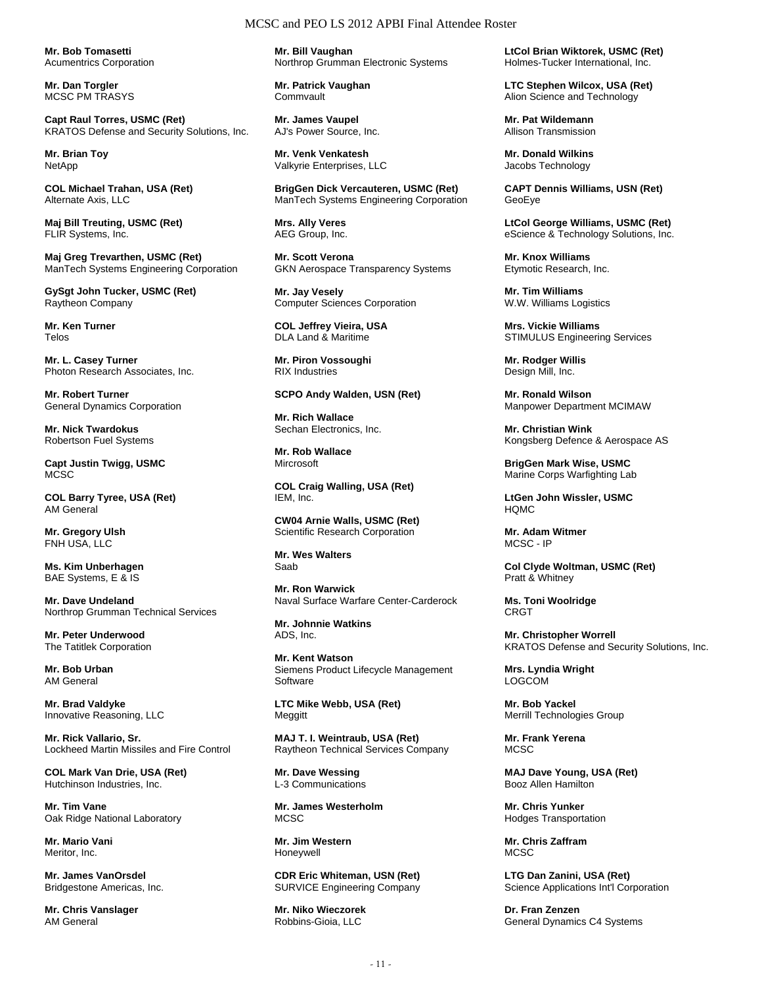**Mr. Bob Tomasetti**  Acumentrics Corporation

**Mr. Dan Torgler**  MCSC PM TRASYS

**Capt Raul Torres, USMC (Ret)**  KRATOS Defense and Security Solutions, Inc.

**Mr. Brian Toy**  NetApp

**COL Michael Trahan, USA (Ret)**  Alternate Axis, LLC

**Maj Bill Treuting, USMC (Ret)**  FLIR Systems, Inc.

**Maj Greg Trevarthen, USMC (Ret)**  ManTech Systems Engineering Corporation

**GySgt John Tucker, USMC (Ret)**  Raytheon Company

**Mr. Ken Turner**  Telos

**Mr. L. Casey Turner**  Photon Research Associates, Inc.

**Mr. Robert Turner**  General Dynamics Corporation

**Mr. Nick Twardokus**  Robertson Fuel Systems

**Capt Justin Twigg, USMC**  MC<sub>SC</sub>

**COL Barry Tyree, USA (Ret)**  AM General

**Mr. Gregory Ulsh**  FNH USA, LLC

**Ms. Kim Unberhagen**  BAE Systems, E & IS

**Mr. Dave Undeland**  Northrop Grumman Technical Services

**Mr. Peter Underwood**  The Tatitlek Corporation

**Mr. Bob Urban**  AM General

**Mr. Brad Valdyke**  Innovative Reasoning, LLC

**Mr. Rick Vallario, Sr.**  Lockheed Martin Missiles and Fire Control

**COL Mark Van Drie, USA (Ret)**  Hutchinson Industries, Inc.

**Mr. Tim Vane**  Oak Ridge National Laboratory

**Mr. Mario Vani**  Meritor, Inc.

**Mr. James VanOrsdel**  Bridgestone Americas, Inc.

**Mr. Chris Vanslager**  AM General

**Mr. Bill Vaughan**  Northrop Grumman Electronic Systems

**Mr. Patrick Vaughan**  Commvault

**Mr. James Vaupel**  AJ's Power Source, Inc.

**Mr. Venk Venkatesh**  Valkyrie Enterprises, LLC

**BrigGen Dick Vercauteren, USMC (Ret)**  ManTech Systems Engineering Corporation

**Mrs. Ally Veres**  AEG Group, Inc.

**Mr. Scott Verona**  GKN Aerospace Transparency Systems

**Mr. Jay Vesely**  Computer Sciences Corporation

**COL Jeffrey Vieira, USA**  DLA Land & Maritime

**Mr. Piron Vossoughi**  RIX Industries

**SCPO Andy Walden, USN (Ret)** 

**Mr. Rich Wallace**  Sechan Electronics, Inc.

**Mr. Rob Wallace Mircrosoft** 

**COL Craig Walling, USA (Ret)**  IEM, Inc.

**CW04 Arnie Walls, USMC (Ret)**  Scientific Research Corporation

**Mr. Wes Walters**  Saab

**Mr. Ron Warwick**  Naval Surface Warfare Center-Carderock

**Mr. Johnnie Watkins**  ADS, Inc.

**Mr. Kent Watson**  Siemens Product Lifecycle Management **Software** 

**LTC Mike Webb, USA (Ret)**  Meggitt

**MAJ T. I. Weintraub, USA (Ret)**  Raytheon Technical Services Company

**Mr. Dave Wessing**  L-3 Communications

**Mr. James Westerholm**  MCSC.

**Mr. Jim Western**  Honeywell

**CDR Eric Whiteman, USN (Ret)**  SURVICE Engineering Company

**Mr. Niko Wieczorek**  Robbins-Gioia, LLC

**LtCol Brian Wiktorek, USMC (Ret)**  Holmes-Tucker International, Inc.

**LTC Stephen Wilcox, USA (Ret)**  Alion Science and Technology

**Mr. Pat Wildemann**  Allison Transmission

**Mr. Donald Wilkins**  Jacobs Technology

**CAPT Dennis Williams, USN (Ret)**  GeoEye

**LtCol George Williams, USMC (Ret)**  eScience & Technology Solutions, Inc.

**Mr. Knox Williams**  Etymotic Research, Inc.

**Mr. Tim Williams**  W.W. Williams Logistics

**Mrs. Vickie Williams**  STIMULUS Engineering Services

**Mr. Rodger Willis**  Design Mill, Inc.

**Mr. Ronald Wilson**  Manpower Department MCIMAW

**Mr. Christian Wink**  Kongsberg Defence & Aerospace AS

**BrigGen Mark Wise, USMC**  Marine Corps Warfighting Lab

**LtGen John Wissler, USMC**  HQMC

**Mr. Adam Witmer**  MCSC - IP

**Col Clyde Woltman, USMC (Ret)**  Pratt & Whitney

**Ms. Toni Woolridge**  CRGT

**Mr. Christopher Worrell**  KRATOS Defense and Security Solutions, Inc.

**Mrs. Lyndia Wright LOGCOM** 

**Mr. Bob Yackel**  Merrill Technologies Group

**Mr. Frank Yerena MCSC** 

**MAJ Dave Young, USA (Ret)**  Booz Allen Hamilton

**Mr. Chris Yunker**  Hodges Transportation

**Mr. Chris Zaffram**  MCSC

**LTG Dan Zanini, USA (Ret)**  Science Applications Int'l Corporation

**Dr. Fran Zenzen**  General Dynamics C4 Systems